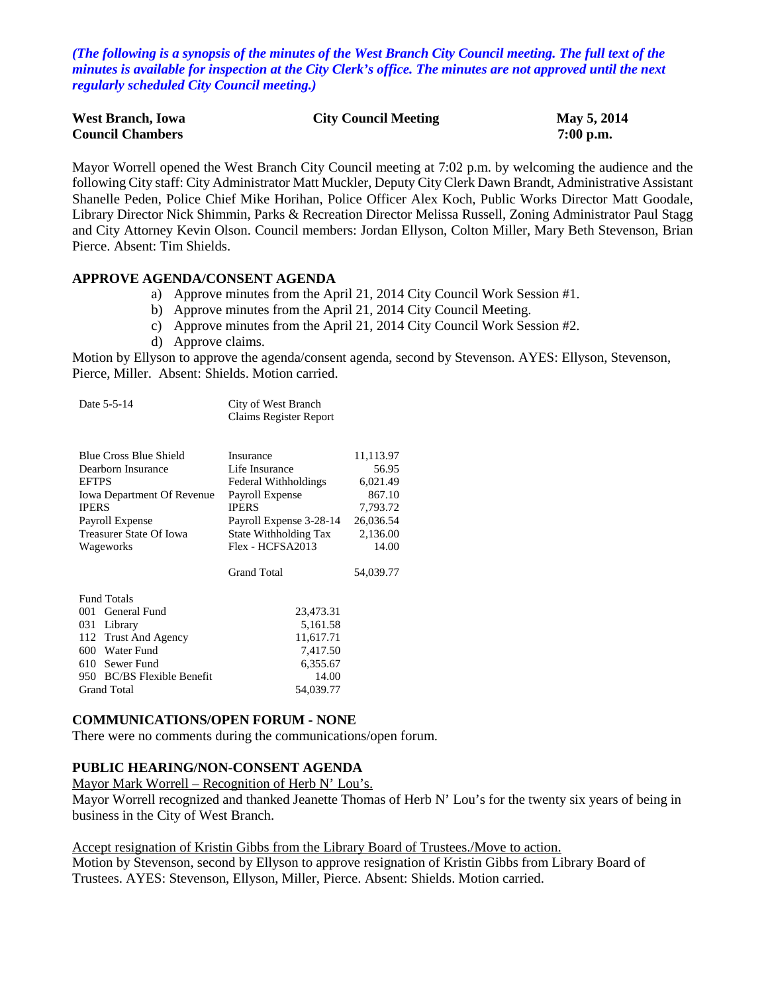*(The following is a synopsis of the minutes of the West Branch City Council meeting. The full text of the minutes is available for inspection at the City Clerk's office. The minutes are not approved until the next regularly scheduled City Council meeting.)*

| <b>West Branch, Iowa</b> | <b>City Council Meeting</b> | May 5, 2014 |
|--------------------------|-----------------------------|-------------|
| <b>Council Chambers</b>  |                             | $7:00$ p.m. |

Mayor Worrell opened the West Branch City Council meeting at 7:02 p.m. by welcoming the audience and the following City staff: City Administrator Matt Muckler, Deputy City Clerk Dawn Brandt, Administrative Assistant Shanelle Peden, Police Chief Mike Horihan, Police Officer Alex Koch, Public Works Director Matt Goodale, Library Director Nick Shimmin, Parks & Recreation Director Melissa Russell, Zoning Administrator Paul Stagg and City Attorney Kevin Olson. Council members: Jordan Ellyson, Colton Miller, Mary Beth Stevenson, Brian Pierce. Absent: Tim Shields.

#### **APPROVE AGENDA/CONSENT AGENDA**

- a) Approve minutes from the April 21, 2014 City Council Work Session #1.
- b) Approve minutes from the April 21, 2014 City Council Meeting.
- c) Approve minutes from the April 21, 2014 City Council Work Session #2.
- d) Approve claims.

Motion by Ellyson to approve the agenda/consent agenda, second by Stevenson. AYES: Ellyson, Stevenson, Pierce, Miller. Absent: Shields. Motion carried.

| Date 5-5-14                                                                                                                                                                         | City of West Branch<br>Claims Register Report                                                                                                                                        |                                                                                                     |
|-------------------------------------------------------------------------------------------------------------------------------------------------------------------------------------|--------------------------------------------------------------------------------------------------------------------------------------------------------------------------------------|-----------------------------------------------------------------------------------------------------|
| <b>Blue Cross Blue Shield</b><br>Dearborn Insurance<br><b>EFTPS</b><br><b>Iowa Department Of Revenue</b><br><b>IPERS</b><br>Payroll Expense<br>Treasurer State Of Iowa<br>Wageworks | Insurance<br>Life Insurance<br>Federal Withholdings<br>Payroll Expense<br><b>IPERS</b><br>Payroll Expense 3-28-14<br>State Withholding Tax<br>Flex - HCFSA2013<br><b>Grand Total</b> | 11,113.97<br>56.95<br>6,021.49<br>867.10<br>7,793.72<br>26,036.54<br>2,136.00<br>14.00<br>54,039.77 |
| <b>Fund Totals</b><br>General Fund<br>001<br>031 Library<br>112 Trust And Agency<br>600 Water Fund<br>610 Sewer Fund<br>950 BC/BS Flexible Benefit<br><b>Grand Total</b>            | 23,473.31<br>5,161.58<br>11,617.71<br>7,417.50<br>6,355.67<br>14.00<br>54,039.77                                                                                                     |                                                                                                     |

#### **COMMUNICATIONS/OPEN FORUM - NONE**

There were no comments during the communications/open forum.

#### **PUBLIC HEARING/NON-CONSENT AGENDA**

#### Mayor Mark Worrell – Recognition of Herb N' Lou's.

Mayor Worrell recognized and thanked Jeanette Thomas of Herb N' Lou's for the twenty six years of being in business in the City of West Branch.

### Accept resignation of Kristin Gibbs from the Library Board of Trustees./Move to action.

Motion by Stevenson, second by Ellyson to approve resignation of Kristin Gibbs from Library Board of Trustees. AYES: Stevenson, Ellyson, Miller, Pierce. Absent: Shields. Motion carried.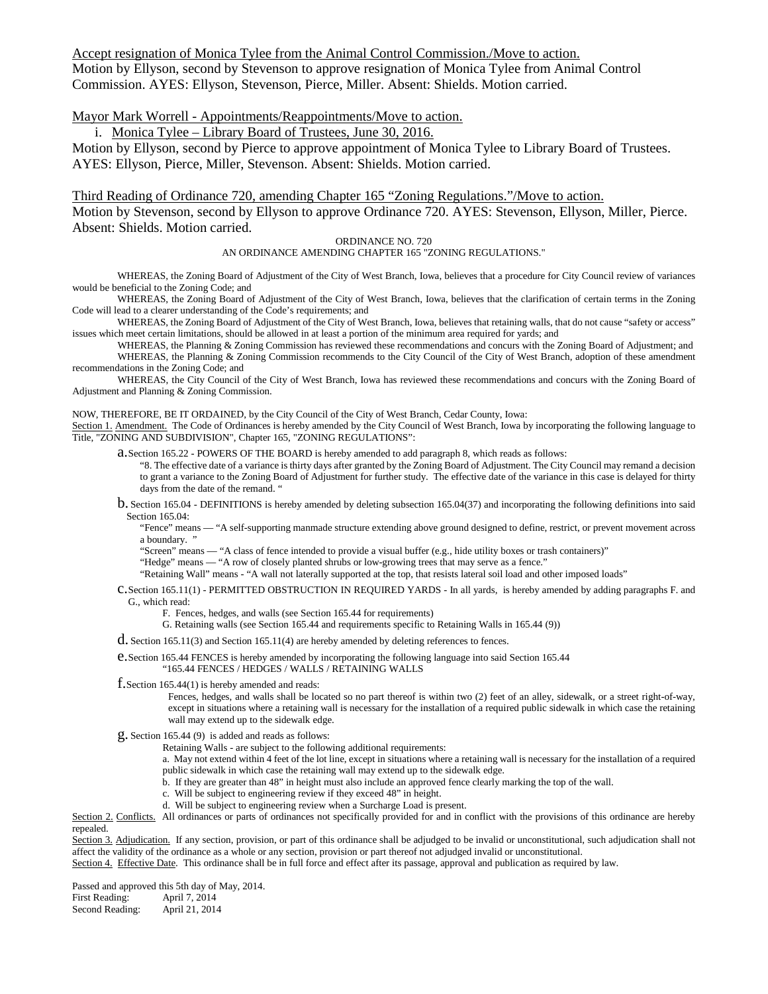Accept resignation of Monica Tylee from the Animal Control Commission./Move to action. Motion by Ellyson, second by Stevenson to approve resignation of Monica Tylee from Animal Control Commission. AYES: Ellyson, Stevenson, Pierce, Miller. Absent: Shields. Motion carried.

Mayor Mark Worrell - Appointments/Reappointments/Move to action.

i. Monica Tylee – Library Board of Trustees, June 30, 2016.

Motion by Ellyson, second by Pierce to approve appointment of Monica Tylee to Library Board of Trustees. AYES: Ellyson, Pierce, Miller, Stevenson. Absent: Shields. Motion carried.

Third Reading of Ordinance 720, amending Chapter 165 "Zoning Regulations."/Move to action. Motion by Stevenson, second by Ellyson to approve Ordinance 720. AYES: Stevenson, Ellyson, Miller, Pierce. Absent: Shields. Motion carried.

ORDINANCE NO. 720 AN ORDINANCE AMENDING CHAPTER 165 "ZONING REGULATIONS."

WHEREAS, the Zoning Board of Adjustment of the City of West Branch, Iowa, believes that a procedure for City Council review of variances would be beneficial to the Zoning Code; and

WHEREAS, the Zoning Board of Adjustment of the City of West Branch, Iowa, believes that the clarification of certain terms in the Zoning Code will lead to a clearer understanding of the Code's requirements; and

WHEREAS, the Zoning Board of Adjustment of the City of West Branch, Iowa, believes that retaining walls, that do not cause "safety or access" issues which meet certain limitations, should be allowed in at least a portion of the minimum area required for yards; and

WHEREAS, the Planning & Zoning Commission has reviewed these recommendations and concurs with the Zoning Board of Adjustment; and WHEREAS, the Planning & Zoning Commission recommends to the City Council of the City of West Branch, adoption of these amendment recommendations in the Zoning Code; and

WHEREAS, the City Council of the City of West Branch, Iowa has reviewed these recommendations and concurs with the Zoning Board of Adjustment and Planning & Zoning Commission.

NOW, THEREFORE, BE IT ORDAINED, by the City Council of the City of West Branch, Cedar County, Iowa:

Section 1. Amendment. The Code of Ordinances is hereby amended by the City Council of West Branch, Iowa by incorporating the following language to Title, "ZONING AND SUBDIVISION", Chapter 165, "ZONING REGULATIONS":

a.Section 165.22 - POWERS OF THE BOARD is hereby amended to add paragraph 8, which reads as follows:

"8. The effective date of a variance isthirty days after granted by the Zoning Board of Adjustment. The City Council may remand a decision to grant a variance to the Zoning Board of Adjustment for further study. The effective date of the variance in this case is delayed for thirty days from the date of the remand. "

b. Section 165.04 - DEFINITIONS is hereby amended by deleting subsection 165.04(37) and incorporating the following definitions into said Section 165.04:

"Fence" means — "A self-supporting manmade structure extending above ground designed to define, restrict, or prevent movement across a boundary. "

"Screen" means — "A class of fence intended to provide a visual buffer (e.g., hide utility boxes or trash containers)"

"Hedge" means — "A row of closely planted shrubs or low-growing trees that may serve as a fence."

"Retaining Wall" means - "A wall not laterally supported at the top, that resists lateral soil load and other imposed loads"

c.Section 165.11(1) - PERMITTED OBSTRUCTION IN REQUIRED YARDS - In all yards, is hereby amended by adding paragraphs F. and G., which read:

F. Fences, hedges, and walls (see Section 165.44 for requirements)

G. Retaining walls (see Section 165.44 and requirements specific to Retaining Walls in 165.44 (9))

d. Section 165.11(3) and Section 165.11(4) are hereby amended by deleting references to fences.

e.Section 165.44 FENCES is hereby amended by incorporating the following language into said Section 165.44

"165.44 FENCES / HEDGES / WALLS / RETAINING WALLS

f.Section 165.44(1) is hereby amended and reads:

Fences, hedges, and walls shall be located so no part thereof is within two (2) feet of an alley, sidewalk, or a street right-of-way, except in situations where a retaining wall is necessary for the installation of a required public sidewalk in which case the retaining wall may extend up to the sidewalk edge.

g. Section 165.44 (9) is added and reads as follows:

Retaining Walls - are subject to the following additional requirements:

a. May not extend within 4 feet of the lot line, except in situations where a retaining wall is necessary for the installation of a required public sidewalk in which case the retaining wall may extend up to the sidewalk edge.

b. If they are greater than 48" in height must also include an approved fence clearly marking the top of the wall.

- c. Will be subject to engineering review if they exceed 48" in height.
- d. Will be subject to engineering review when a Surcharge Load is present.

Section 2. Conflicts. All ordinances or parts of ordinances not specifically provided for and in conflict with the provisions of this ordinance are hereby repealed.

Section 3. Adjudication. If any section, provision, or part of this ordinance shall be adjudged to be invalid or unconstitutional, such adjudication shall not affect the validity of the ordinance as a whole or any section, provision or part thereof not adjudged invalid or unconstitutional. Section 4. Effective Date. This ordinance shall be in full force and effect after its passage, approval and publication as required by law.

Passed and approved this 5th day of May, 2014.<br>First Reading: April 7, 2014

First Reading: April 7, 2014<br>Second Reading: April 21, 2014 Second Reading: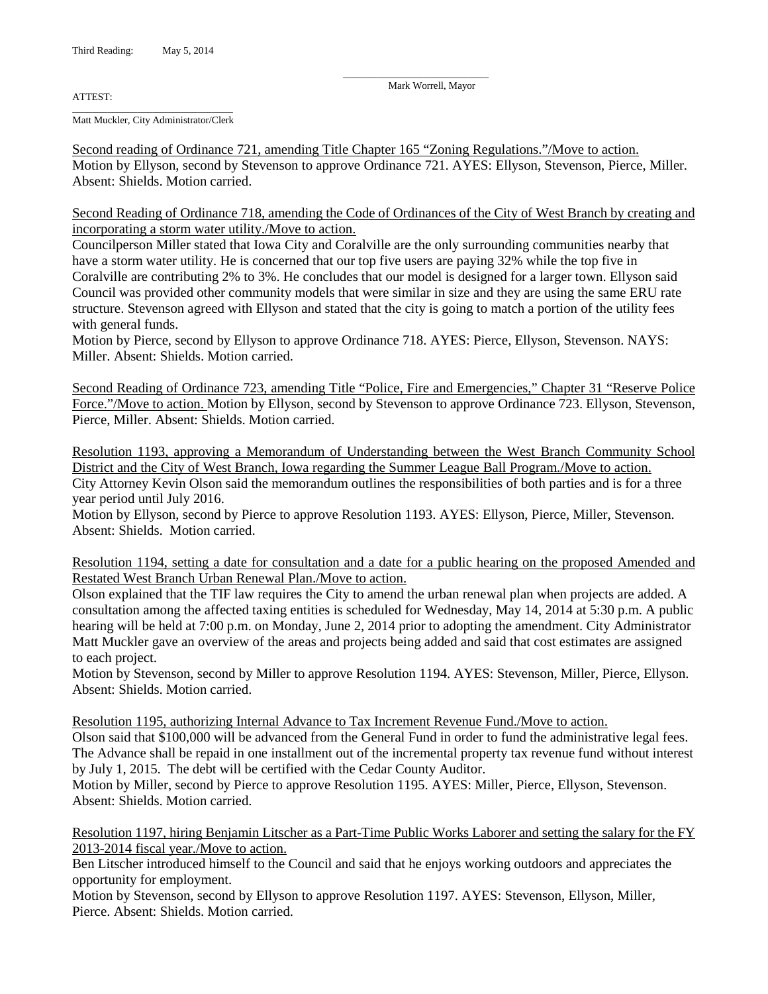ATTEST:

\_\_\_\_\_\_\_\_\_\_\_\_\_\_\_\_\_\_\_\_\_\_\_\_\_\_\_\_\_\_\_\_ Matt Muckler, City Administrator/Clerk

Second reading of Ordinance 721, amending Title Chapter 165 "Zoning Regulations."/Move to action. Motion by Ellyson, second by Stevenson to approve Ordinance 721. AYES: Ellyson, Stevenson, Pierce, Miller. Absent: Shields. Motion carried.

\_\_\_\_\_\_\_\_\_\_\_\_\_\_\_\_\_\_\_\_\_\_\_\_\_\_\_\_\_ Mark Worrell, Mayor

Second Reading of Ordinance 718, amending the Code of Ordinances of the City of West Branch by creating and incorporating a storm water utility./Move to action.

Councilperson Miller stated that Iowa City and Coralville are the only surrounding communities nearby that have a storm water utility. He is concerned that our top five users are paying 32% while the top five in Coralville are contributing 2% to 3%. He concludes that our model is designed for a larger town. Ellyson said Council was provided other community models that were similar in size and they are using the same ERU rate structure. Stevenson agreed with Ellyson and stated that the city is going to match a portion of the utility fees with general funds.

Motion by Pierce, second by Ellyson to approve Ordinance 718. AYES: Pierce, Ellyson, Stevenson. NAYS: Miller. Absent: Shields. Motion carried.

Second Reading of Ordinance 723, amending Title "Police, Fire and Emergencies," Chapter 31 "Reserve Police Force."/Move to action. Motion by Ellyson, second by Stevenson to approve Ordinance 723. Ellyson, Stevenson, Pierce, Miller. Absent: Shields. Motion carried.

Resolution 1193, approving a Memorandum of Understanding between the West Branch Community School District and the City of West Branch, Iowa regarding the Summer League Ball Program./Move to action. City Attorney Kevin Olson said the memorandum outlines the responsibilities of both parties and is for a three year period until July 2016.

Motion by Ellyson, second by Pierce to approve Resolution 1193. AYES: Ellyson, Pierce, Miller, Stevenson. Absent: Shields. Motion carried.

Resolution 1194, setting a date for consultation and a date for a public hearing on the proposed Amended and Restated West Branch Urban Renewal Plan./Move to action.

Olson explained that the TIF law requires the City to amend the urban renewal plan when projects are added. A consultation among the affected taxing entities is scheduled for Wednesday, May 14, 2014 at 5:30 p.m. A public hearing will be held at 7:00 p.m. on Monday, June 2, 2014 prior to adopting the amendment. City Administrator Matt Muckler gave an overview of the areas and projects being added and said that cost estimates are assigned to each project.

Motion by Stevenson, second by Miller to approve Resolution 1194. AYES: Stevenson, Miller, Pierce, Ellyson. Absent: Shields. Motion carried.

Resolution 1195, authorizing Internal Advance to Tax Increment Revenue Fund./Move to action.

Olson said that \$100,000 will be advanced from the General Fund in order to fund the administrative legal fees. The Advance shall be repaid in one installment out of the incremental property tax revenue fund without interest by July 1, 2015. The debt will be certified with the Cedar County Auditor.

Motion by Miller, second by Pierce to approve Resolution 1195. AYES: Miller, Pierce, Ellyson, Stevenson. Absent: Shields. Motion carried.

Resolution 1197, hiring Benjamin Litscher as a Part-Time Public Works Laborer and setting the salary for the FY 2013-2014 fiscal year./Move to action.

Ben Litscher introduced himself to the Council and said that he enjoys working outdoors and appreciates the opportunity for employment.

Motion by Stevenson, second by Ellyson to approve Resolution 1197. AYES: Stevenson, Ellyson, Miller, Pierce. Absent: Shields. Motion carried.